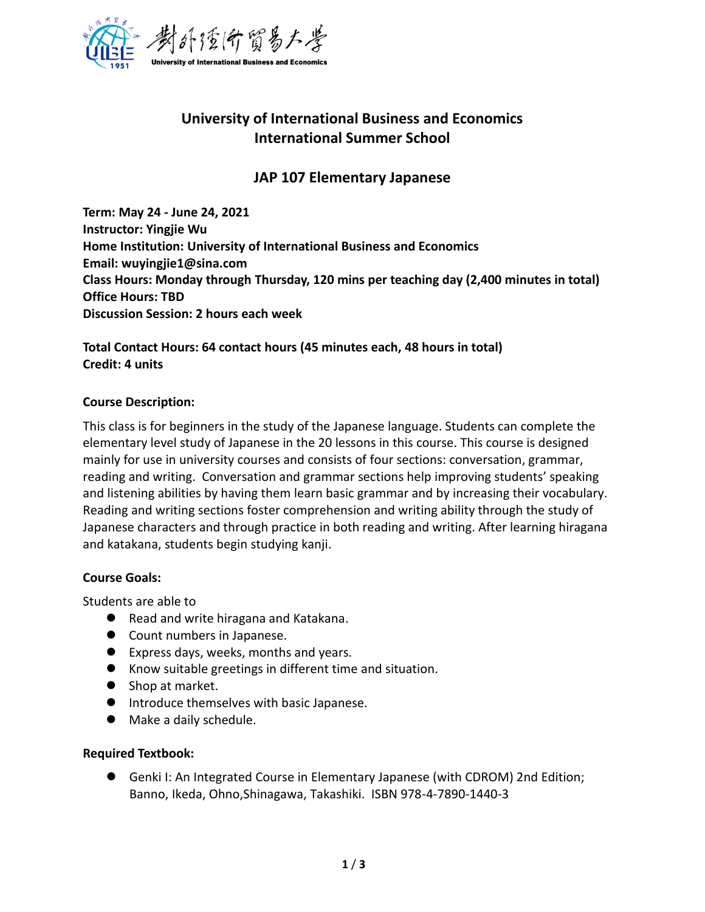

# **University of International Business and Economics International Summer School**

## **JAP 107 Elementary Japanese**

**Term: May 24 - June 24, 2021 Instructor: Yingjie Wu Home Institution: University of International Business and Economics Email: wuyingjie1@sina.com Class Hours: Monday through Thursday, 120 mins per teaching day (2,400 minutes in total) Office Hours: TBD Discussion Session: 2 hours each week** 

### **Total Contact Hours: 64 contact hours (45 minutes each, 48 hours in total) Credit: 4 units**

### **Course Description:**

This class is for beginners in the study of the Japanese language. Students can complete the elementary level study of Japanese in the 20 lessons in this course. This course is designed mainly for use in university courses and consists of four sections: conversation, grammar, reading and writing. Conversation and grammar sections help improving students' speaking and listening abilities by having them learn basic grammar and by increasing their vocabulary. Reading and writing sections foster comprehension and writing ability through the study of Japanese characters and through practice in both reading and writing. After learning hiragana and katakana, students begin studying kanji.

### **Course Goals:**

Students are able to

- Read and write hiragana and Katakana.
- Count numbers in Japanese.
- ⚫ Express days, weeks, months and years.
- Know suitable greetings in different time and situation.
- Shop at market.
- ⚫ Introduce themselves with basic Japanese.
- Make a daily schedule.

### **Required Textbook:**

● Genki I: An Integrated Course in Elementary Japanese (with CDROM) 2nd Edition; Banno, Ikeda, Ohno,Shinagawa, Takashiki. ISBN 978-4-7890-1440-3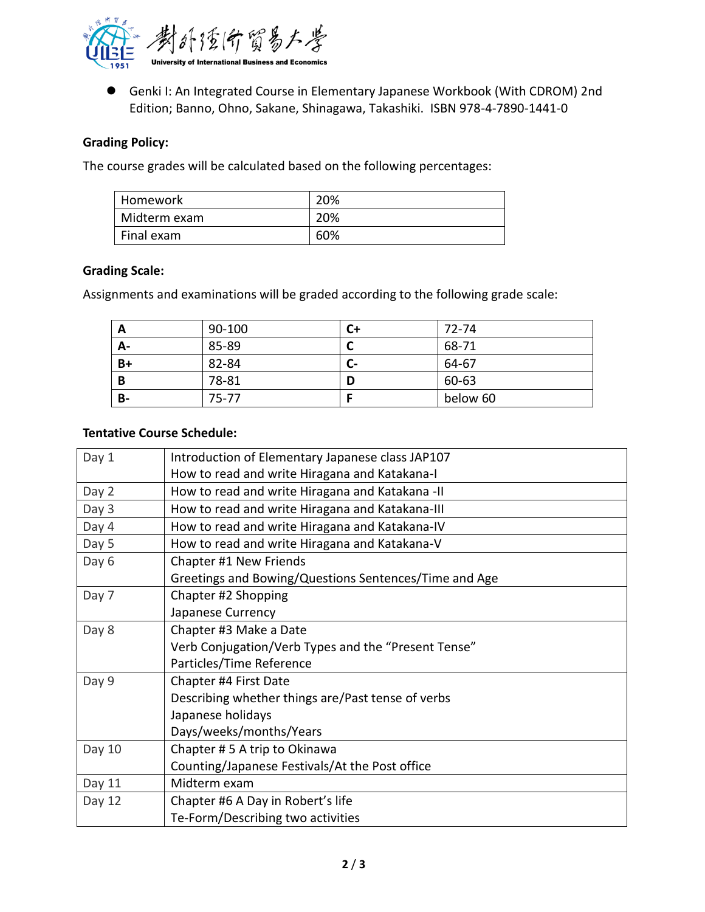

● Genki I: An Integrated Course in Elementary Japanese Workbook (With CDROM) 2nd Edition; Banno, Ohno, Sakane, Shinagawa, Takashiki. ISBN 978-4-7890-1441-0

### **Grading Policy:**

The course grades will be calculated based on the following percentages:

| ∣ Homework   | 20% |
|--------------|-----|
| Midterm exam | 20% |
| Final exam   | 60% |

#### **Grading Scale:**

Assignments and examinations will be graded according to the following grade scale:

| A         | 90-100 | C+ | 72-74    |
|-----------|--------|----|----------|
| A-        | 85-89  |    | 68-71    |
| $B+$      | 82-84  | С- | 64-67    |
| B         | 78-81  | D  | 60-63    |
| <b>B-</b> | 75-77  |    | below 60 |

#### **Tentative Course Schedule:**

| Day 1  | Introduction of Elementary Japanese class JAP107      |
|--------|-------------------------------------------------------|
|        | How to read and write Hiragana and Katakana-I         |
| Day 2  | How to read and write Hiragana and Katakana -II       |
| Day 3  | How to read and write Hiragana and Katakana-III       |
| Day 4  | How to read and write Hiragana and Katakana-IV        |
| Day 5  | How to read and write Hiragana and Katakana-V         |
| Day 6  | Chapter #1 New Friends                                |
|        | Greetings and Bowing/Questions Sentences/Time and Age |
| Day 7  | Chapter #2 Shopping                                   |
|        | Japanese Currency                                     |
| Day 8  | Chapter #3 Make a Date                                |
|        | Verb Conjugation/Verb Types and the "Present Tense"   |
|        | Particles/Time Reference                              |
| Day 9  | Chapter #4 First Date                                 |
|        | Describing whether things are/Past tense of verbs     |
|        | Japanese holidays                                     |
|        | Days/weeks/months/Years                               |
| Day 10 | Chapter #5 A trip to Okinawa                          |
|        | Counting/Japanese Festivals/At the Post office        |
| Day 11 | Midterm exam                                          |
| Day 12 | Chapter #6 A Day in Robert's life                     |
|        | Te-Form/Describing two activities                     |